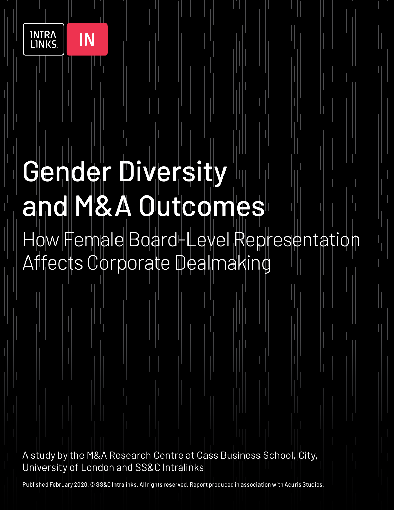

IN

# Gender Diversity and **II y ky Allu Iulio omnes** ow Female Board-Level Representation Affects Corporate Dealmaking

A study by the M&A Research Centre at Cass Business School, City, University of London and SS&C Intralinks

Published February 2020. © SS&C Intralinks. All rights reserved. Report produced in association with Acuris Studios.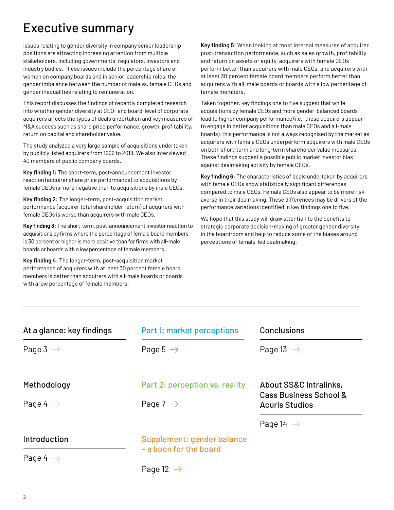### Executive summary

Issues relating to gender diversity in company senior leadership positions are attracting increasing attention from multiple stakeholders, including governments, regulators, investors and industry bodies. These issues include the percentage share of women on company boards and in senior leadership roles, the gender imbalance between the number of male vs. female CEOs and gender inequalities relating to remuneration.

This report discusses the findings of recently completed research into whether gender diversity at CEO- and board-level of corporate acquirers affects the types of deals undertaken and key measures of M&A success such as share price performance, growth, profitability, return on capital and shareholder value.

The study analyzed a very large sample of acquisitions undertaken by publicly listed acquirers from 1999 to 2018. We also interviewed 40 members of public company boards.

**Key finding 1:** The short-term, post-announcement investor reaction (acquirer share price performance) to acquisitions by female CEOs is more negative than to acquisitions by male CEOs.

**Key finding 2:** The longer-term, post-acquisition market performance (acquirer total shareholder return) of acquirers with female CEOs is worse than acquirers with male CEOs.

**Key finding 3:** The short-term, post-announcement investor reaction to acquisitions by firms where the percentage of female board members is 30 percent or higher is more positive than for firms with all-male boards or boards with a low percentage of female members.

**Key finding 4:** The longer-term, post-acquisition market performance of acquirers with at least 30 percent female board members is better than acquirers with all-male boards or boards with a low percentage of female members.

**Key finding 5:** When looking at most internal measures of acquirer post-transaction performance, such as sales growth, profitability and return on assets or equity, acquirers with female CEOs perform better than acquirers with male CEOs, and acquirers with at least 30 percent female board members perform better than acquirers with all-male boards or boards with a low percentage of female members.

Taken together, key findings one to five suggest that while acquisitions by female CEOs and more gender-balanced boards lead to higher company performance (i.e., these acquirers appear to engage in better acquisitions than male CEOs and all-male boards), this performance is not always recognised by the market as acquirers with female CEOs underperform acquirers with male CEOs on both short-term and long-term shareholder value measures. These findings suggest a possible public market investor bias against dealmaking activity by female CEOs.

**Key finding 6:** The characteristics of deals undertaken by acquirers with female CEOs show statistically significant differences compared to male CEOs. Female CEOs also appear to be more riskaverse in their dealmaking. These differences may be drivers of the performance variations identified in key findings one to five.

We hope that this study will draw attention to the benefits to strategic corporate decision-making of greater gender diversity in the boardroom and help to reduce some of the biases around perceptions of female-led dealmaking.

| At a glance: key findings           | Part 1: market perceptions                             | Conclusions                                                                          |
|-------------------------------------|--------------------------------------------------------|--------------------------------------------------------------------------------------|
| Page 3 $\rightarrow$                | Page 5 $\rightarrow$                                   | Page 13 $\rightarrow$                                                                |
| Methodology<br>Page 4 $\rightarrow$ | Part 2: perception vs. reality<br>Page 7 $\rightarrow$ | About SS&C Intralinks,<br><b>Cass Business School &amp;</b><br><b>Acuris Studios</b> |
|                                     |                                                        | Page 14 $\rightarrow$                                                                |
| Introduction                        | Supplement: gender balance<br>- a boon for the board   |                                                                                      |
| Page 4 $\rightarrow$                |                                                        |                                                                                      |
|                                     | Page 12 $\rightarrow$                                  |                                                                                      |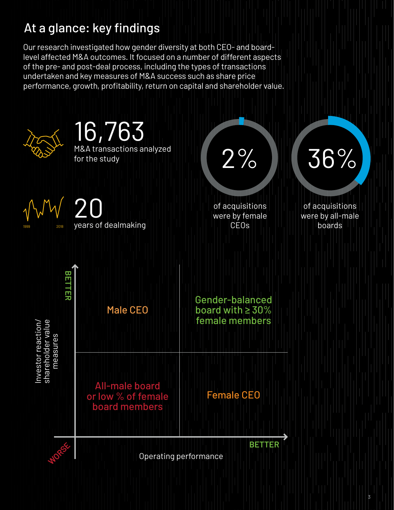### <span id="page-2-0"></span>At a glance: key findings

Our research investigated how gender diversity at both CEO- and boardlevel affected M&A outcomes. It focused on a number of different aspects of the pre- and post-deal process, including the types of transactions undertaken and key measures of M&A success such as share price performance, growth, profitability, return on capital and shareholder value.



**3**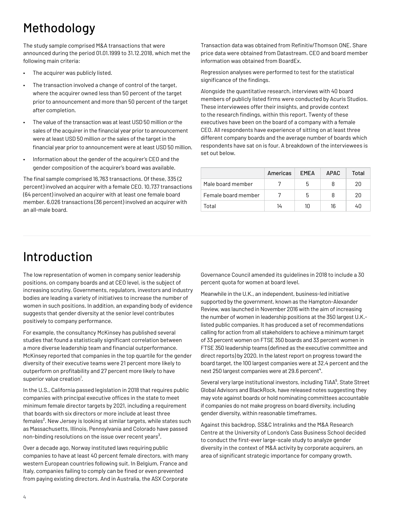### <span id="page-3-0"></span>Methodology

The study sample comprised M&A transactions that were announced during the period 01.01.1999 to 31.12.2018, which met the following main criteria:

- The acquirer was publicly listed.
- The transaction involved a change of control of the target, where the acquirer owned less than 50 percent of the target prior to announcement and more than 50 percent of the target after completion.
- The value of the transaction was at least USD 50 million *or* the sales of the acquirer in the financial year prior to announcement were at least USD 50 million *or* the sales of the target in the financial year prior to announcement were at least USD 50 million.
- Information about the gender of the acquirer's CEO and the gender composition of the acquirer's board was available.

The final sample comprised 16,763 transactions. Of these, 335 (2 percent) involved an acquirer with a female CEO. 10,737 transactions (64 percent) involved an acquirer with at least one female board member. 6,026 transactions (36 percent) involved an acquirer with an all-male board.

Transaction data was obtained from Refinitiv/Thomson ONE. Share price data were obtained from Datastream. CEO and board member information was obtained from BoardEx.

Regression analyses were performed to test for the statistical significance of the findings.

Alongside the quantitative research, interviews with 40 board members of publicly listed firms were conducted by Acuris Studios. These interviewees offer their insights, and provide context to the research findings, within this report. Twenty of these executives have been on the board of a company with a female CEO. All respondents have experience of sitting on at least three different company boards and the average number of boards which respondents have sat on is four. A breakdown of the interviewees is set out below.

|                     | Americas | <b>FMFA</b> | <b>APAC</b> | Total |
|---------------------|----------|-------------|-------------|-------|
| Male board member   |          | 5           | 8           | 20    |
| Female board member |          | 5           | 8           | 20    |
| Total               | 14       | 10          | 16          | 4Π    |

### Introduction

The low representation of women in company senior leadership positions, on company boards and at CEO level, is the subject of increasing scrutiny. Governments, regulators, investors and industry bodies are leading a variety of initiatives to increase the number of women in such positions. In addition, an expanding body of evidence suggests that gender diversity at the senior level contributes positively to company performance.

For example, the consultancy McKinsey has published several studies that found a statistically significant correlation between a more diverse leadership team and financial outperformance. McKinsey reported that companies in the top quartile for the gender diversity of their executive teams were 21 percent more likely to outperform on profitability and 27 percent more likely to have superior value creation<sup>1</sup>.

In the U.S., California passed legislation in 2018 that requires public companies with principal executive offices in the state to meet minimum female director targets by 2021, including a requirement that boards with six directors or more include at least three females<sup>2</sup>. New Jersey is looking at similar targets, while states such as Massachusetts, Illinois, Pennsylvania and Colorado have passed non-binding resolutions on the issue over recent years<sup>3</sup>.

Over a decade ago, Norway instituted laws requiring public companies to have at least 40 percent female directors, with many western European countries following suit. In Belgium, France and Italy, companies failing to comply can be fined or even prevented from paying existing directors. And in Australia, the ASX Corporate

Governance Council amended its guidelines in 2018 to include a 30 percent quota for women at board level.

Meanwhile in the U.K., an independent, business-led initiative supported by the government, known as the Hampton-Alexander Review, was launched in November 2016 with the aim of increasing the number of women in leadership positions at the 350 largest U.K. listed public companies. It has produced a set of recommendations calling for action from all stakeholders to achieve a minimum target of 33 percent women on FTSE 350 boards and 33 percent women in FTSE 350 leadership teams (defined as the executive committee and direct reports) by 2020. In the latest report on progress toward the board target, the 100 largest companies were at 32.4 percent and the next 250 largest companies were at 29.6 percent<sup>4</sup>.

Several very large institutional investors, including TIAA<sup>5</sup>, State Street Global Advisors and BlackRock, have released notes suggesting they may vote against boards or hold nominating committees accountable if companies do not make progress on board diversity, including gender diversity, within reasonable timeframes.

Against this backdrop, SS&C Intralinks and the M&A Research Centre at the University of London's Cass Business School decided to conduct the first-ever large-scale study to analyze gender diversity in the context of M&A activity by corporate acquirers, an area of significant strategic importance for company growth.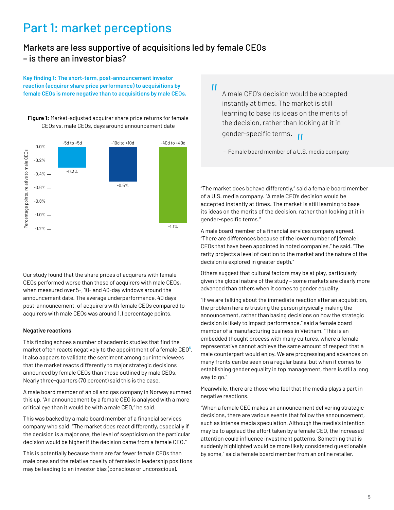### <span id="page-4-0"></span>Part 1: market perceptions

#### Markets are less supportive of acquisitions led by female CEOs – is there an investor bias?

**Key finding 1: The short-term, post-announcement investor reaction (acquirer share price performance) to acquisitions by female CEOs is more negative than to acquisitions by male CEOs.**



**Figure 1:** Market-adjusted acquirer share price returns for female CEOs vs. male CEOs, days around announcement date

Our study found that the share prices of acquirers with female CEOs performed worse than those of acquirers with male CEOs, when measured over 5-, 10- and 40-day windows around the announcement date. The average underperformance, 40 days post-announcement, of acquirers with female CEOs compared to acquirers with male CEOs was around 1.1 percentage points.

#### **Negative reactions**

This finding echoes a number of academic studies that find the market often reacts negatively to the appointment of a female  $CEO<sup>6</sup>$ . It also appears to validate the sentiment among our interviewees that the market reacts differently to major strategic decisions announced by female CEOs than those outlined by male CEOs. Nearly three-quarters (70 percent) said this is the case.

A male board member of an oil and gas company in Norway summed this up. "An announcement by a female CEO is analysed with a more critical eye than it would be with a male CEO," he said.

This was backed by a male board member of a financial services company who said: "The market does react differently, especially if the decision is a major one, the level of scepticism on the particular decision would be higher if the decision came from a female CEO."

This is potentially because there are far fewer female CEOs than male ones and the relative novelty of females in leadership positions may be leading to an investor bias (conscious or unconscious).

*"*

A male CEO's decision would be accepted instantly at times. The market is still learning to base its ideas on the merits of the decision, rather than looking at it in gender-specific terms.<br>- Female board member of a U.

– Female board member of a U.S. media company

"The market does behave differently," said a female board member of a U.S. media company. "A male CEO's decision would be accepted instantly at times. The market is still learning to base its ideas on the merits of the decision, rather than looking at it in gender-specific terms."

A male board member of a financial services company agreed. "There are differences because of the lower number of [female] CEOs that have been appointed in noted companies," he said. "The rarity projects a level of caution to the market and the nature of the decision is explored in greater depth."

Others suggest that cultural factors may be at play, particularly given the global nature of the study – some markets are clearly more advanced than others when it comes to gender equality.

"If we are talking about the immediate reaction after an acquisition, the problem here is trusting the person physically making the announcement, rather than basing decisions on how the strategic decision is likely to impact performance," said a female board member of a manufacturing business in Vietnam. "This is an embedded thought process with many cultures, where a female representative cannot achieve the same amount of respect that a male counterpart would enjoy. We are progressing and advances on many fronts can be seen on a regular basis, but when it comes to establishing gender equality in top management, there is still a long way to go."

Meanwhile, there are those who feel that the media plays a part in negative reactions.

"When a female CEO makes an announcement delivering strategic decisions, there are various events that follow the announcement, such as intense media speculation. Although the media's intention may be to applaud the effort taken by a female CEO, the increased attention could influence investment patterns. Something that is suddenly highlighted would be more likely considered questionable by some," said a female board member from an online retailer.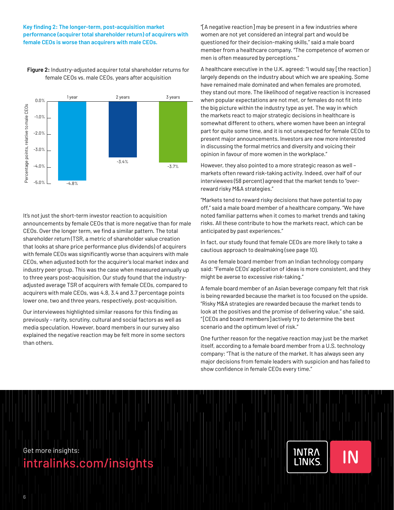#### **Key finding 2: The longer-term, post-acquisition market performance (acquirer total shareholder return) of acquirers with female CEOs is worse than acquirers with male CEOs.**



**Figure 2:** Industry-adjusted acquirer total shareholder returns for female CEOs vs. male CEOs, years after acquisition

It's not just the short-term investor reaction to acquisition announcements by female CEOs that is more negative than for male CEOs. Over the longer term, we find a similar pattern. The total shareholder return (TSR, a metric of shareholder value creation that looks at share price performance plus dividends) of acquirers with female CEOs was significantly worse than acquirers with male CEOs, when adjusted both for the acquirer's local market index and industry peer group. This was the case when measured annually up to three years post-acquisition. Our study found that the industryadjusted average TSR of acquirers with female CEOs, compared to acquirers with male CEOs, was 4.8, 3.4 and 3.7 percentage points lower one, two and three years, respectively, post-acquisition.

Our interviewees highlighted similar reasons for this finding as previously – rarity, scrutiny, cultural and social factors as well as media speculation. However, board members in our survey also explained the negative reaction may be felt more in some sectors than others.

"[A negative reaction] may be present in a few industries where women are not yet considered an integral part and would be questioned for their decision-making skills," said a male board member from a healthcare company. "The competence of women or men is often measured by perceptions."

A healthcare executive in the U.K. agreed: "I would say [the reaction] largely depends on the industry about which we are speaking. Some have remained male dominated and when females are promoted, they stand out more. The likelihood of negative reaction is increased when popular expectations are not met, or females do not fit into the big picture within the industry type as yet. The way in which the markets react to major strategic decisions in healthcare is somewhat different to others, where women have been an integral part for quite some time, and it is not unexpected for female CEOs to present major announcements. Investors are now more interested in discussing the formal metrics and diversity and voicing their opinion in favour of more women in the workplace."

However, they also pointed to a more strategic reason as well – markets often reward risk-taking activity. Indeed, over half of our interviewees (58 percent) agreed that the market tends to "overreward risky M&A strategies."

"Markets tend to reward risky decisions that have potential to pay off," said a male board member of a healthcare company. "We have noted familiar patterns when it comes to market trends and taking risks. All these contribute to how the markets react, which can be anticipated by past experiences."

In fact, our study found that female CEOs are more likely to take a cautious approach to dealmaking (see page 10).

As one female board member from an Indian technology company said: "Female CEOs' application of ideas is more consistent, and they might be averse to excessive risk-taking."

A female board member of an Asian beverage company felt that risk is being rewarded because the market is too focused on the upside. "Risky M&A strategies are rewarded because the market tends to look at the positives and the promise of delivering value," she said. " [CEOs and board members] actively try to determine the best scenario and the optimum level of risk."

One further reason for the negative reaction may just be the market itself, according to a female board member from a U.S. technology company: "That is the nature of the market. It has always seen any major decisions from female leaders with suspicion and has failed to show confidence in female CEOs every time."

**INTRA** 

**LINKS** 

IN

Get more insights:

[intralinks.com/insights](https://www.intralinks.com/insights)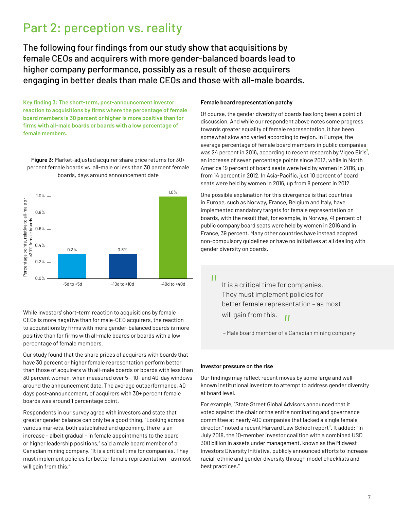### <span id="page-6-0"></span>Part 2: perception vs. reality

The following four findings from our study show that acquisitions by female CEOs and acquirers with more gender-balanced boards lead to higher company performance, possibly as a result of these acquirers engaging in better deals than male CEOs and those with all-male boards.

**Key finding 3: The short-term, post-announcement investor reaction to acquisitions by firms where the percentage of female board members is 30 percent or higher is more positive than for firms with all-male boards or boards with a low percentage of female members.**

**Figure 3:** Market-adjusted acquirer share price returns for 30+ percent female boards vs. all-male or less than 30 percent female boards, days around announcement date



While investors' short-term reaction to acquisitions by female CEOs is more negative than for male-CEO acquirers, the reaction to acquisitions by firms with more gender-balanced boards is more positive than for firms with all-male boards or boards with a low percentage of female members.

Our study found that the share prices of acquirers with boards that have 30 percent or higher female representation perform better than those of acquirers with all-male boards or boards with less than 30 percent women, when measured over 5-, 10- and 40-day windows around the announcement date. The average outperformance, 40 days post-announcement, of acquirers with 30+ percent female boards was around 1 percentage point.

Respondents in our survey agree with investors and state that greater gender balance can only be a good thing. "Looking across various markets, both established and upcoming, there is an increase – albeit gradual – in female appointments to the board or higher leadership positions," said a male board member of a Canadian mining company. "It is a critical time for companies. They must implement policies for better female representation – as most will gain from this."

#### **Female board representation patchy**

Of course, the gender diversity of boards has long been a point of discussion. And while our respondent above notes some progress towards greater equality of female representation, it has been somewhat slow and varied according to region. In Europe, the average percentage of female board members in public companies was 24 percent in 2016, according to recent research by Vigeo Eiris $^7$ , an increase of seven percentage points since 2012, while in North America 19 percent of board seats were held by women in 2016, up from 14 percent in 2012. In Asia-Pacific, just 10 percent of board seats were held by women in 2016, up from 8 percent in 2012.

One possible explanation for this divergence is that countries in Europe, such as Norway, France, Belgium and Italy, have implemented mandatory targets for female representation on boards, with the result that, for example, in Norway, 41 percent of public company board seats were held by women in 2016 and in France, 39 percent. Many other countries have instead adopted non-compulsory guidelines or have no initiatives at all dealing with gender diversity on boards.

 $^{\prime\prime}$ 

It is a critical time for companies. They must implement policies for better female representation – as most will gain from this. *|*<br><sup>Fa</sup>

– Male board member of a Canadian mining company

#### **Investor pressure on the rise**

Our findings may reflect recent moves by some large and wellknown institutional investors to attempt to address gender diversity at board level.

For example, "State Street Global Advisors announced that it voted against the chair or the entire nominating and governance committee at nearly 400 companies that lacked a single female director," noted a recent Harvard Law School report<sup>8</sup>. It added: "In July 2018, the 10-member investor coalition with a combined USD 300 billion in assets under management, known as the Midwest Investors Diversity Initiative, publicly announced efforts to increase racial, ethnic and gender diversity through model checklists and best practices."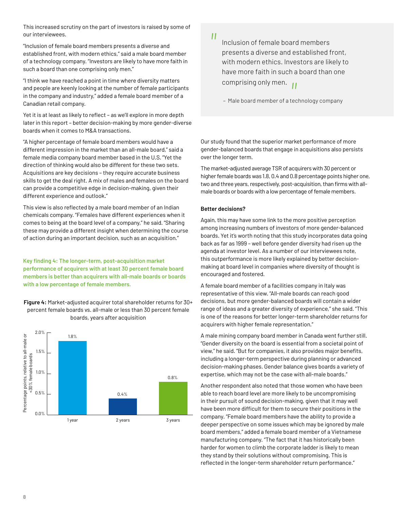This increased scrutiny on the part of investors is raised by some of our interviewees.

"Inclusion of female board members presents a diverse and established front, with modern ethics," said a male board member of a technology company. "Investors are likely to have more faith in such a board than one comprising only men."

"I think we have reached a point in time where diversity matters and people are keenly looking at the number of female participants in the company and industry," added a female board member of a Canadian retail company.

Yet it is at least as likely to reflect – as we'll explore in more depth later in this report – better decision-making by more gender-diverse boards when it comes to M&A transactions.

"A higher percentage of female board members would have a different impression in the market than an all-male board," said a female media company board member based in the U.S. "Yet the direction of thinking would also be different for these two sets. Acquisitions are key decisions – they require accurate business skills to get the deal right. A mix of males and females on the board can provide a competitive edge in decision-making, given their different experience and outlook."

This view is also reflected by a male board member of an Indian chemicals company. "Females have different experiences when it comes to being at the board level of a company," he said. "Sharing these may provide a different insight when determining the course of action during an important decision, such as an acquisition."

**Key finding 4: The longer-term, post-acquisition market performance of acquirers with at least 30 percent female board members is better than acquirers with all-male boards or boards with a low percentage of female members.**

**Figure 4:** Market-adjusted acquirer total shareholder returns for 30+ percent female boards vs. all-male or less than 30 percent female boards, years after acquisition



 $^{\prime}$ 

Inclusion of female board members presents a diverse and established front, with modern ethics. Investors are likely to have more faith in such a board than one comprising only men.<br>- Male board member of a ter

– Male board member of a technology company

Our study found that the superior market performance of more gender-balanced boards that engage in acquisitions also persists over the longer term.

The market-adjusted average TSR of acquirers with 30 percent or higher female boards was 1.8, 0.4 and 0.8 percentage points higher one, two and three years, respectively, post-acquisition, than firms with allmale boards or boards with a low percentage of female members.

#### **Better decisions?**

Again, this may have some link to the more positive perception among increasing numbers of investors of more gender-balanced boards. Yet it's worth noting that this study incorporates data going back as far as 1999 – well before gender diversity had risen up the agenda at investor level. As a number of our interviewees note, this outperformance is more likely explained by better decisionmaking at board level in companies where diversity of thought is encouraged and fostered.

A female board member of a facilities company in Italy was representative of this view. "All-male boards can reach good decisions, but more gender-balanced boards will contain a wider range of ideas and a greater diversity of experience," she said. "This is one of the reasons for better longer-term shareholder returns for acquirers with higher female representation."

A male mining company board member in Canada went further still. "Gender diversity on the board is essential from a societal point of view," he said. "But for companies, it also provides major benefits, including a longer-term perspective during planning or advanced decision-making phases. Gender balance gives boards a variety of expertise, which may not be the case with all-male boards."

Another respondent also noted that those women who have been able to reach board level are more likely to be uncompromising in their pursuit of sound decision-making, given that it may well have been more difficult for them to secure their positions in the company. "Female board members have the ability to provide a deeper perspective on some issues which may be ignored by male board members," added a female board member of a Vietnamese manufacturing company. "The fact that it has historically been harder for women to climb the corporate ladder is likely to mean they stand by their solutions without compromising. This is reflected in the longer-term shareholder return performance."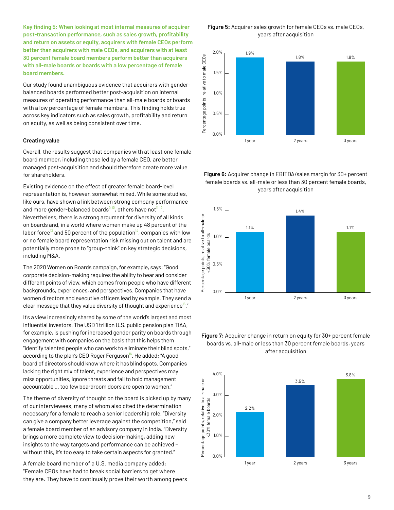**Key finding 5: When looking at most internal measures of acquirer post-transaction performance, such as sales growth, profitability and return on assets or equity, acquirers with female CEOs perform better than acquirers with male CEOs, and acquirers with at least 30 percent female board members perform better than acquirers with all-male boards or boards with a low percentage of female board members.**

Our study found unambiguous evidence that acquirers with genderbalanced boards performed better post-acquisition on internal measures of operating performance than all-male boards or boards with a low percentage of female members. This finding holds true across key indicators such as sales growth, profitability and return on equity, as well as being consistent over time.

#### **Creating value**

Overall, the results suggest that companies with at least one female board member, including those led by a female CEO, are better managed post-acquisition and should therefore create more value for shareholders.

Existing evidence on the effect of greater female board-level representation is, however, somewhat mixed. While some studies, like ours, have shown a link between strong company performance and more gender-balanced boards<sup>9 10</sup>, others have not<sup>11 12</sup>. Nevertheless, there is a strong argument for diversity of all kinds on boards and, in a world where women make up 48 percent of the labor force<sup>13</sup> and 50 percent of the population<sup>14</sup>, companies with low or no female board representation risk missing out on talent and are potentially more prone to "group-think" on key strategic decisions, including M&A.

The 2020 Women on Boards campaign, for example, says: "Good corporate decision-making requires the ability to hear and consider different points of view, which comes from people who have different backgrounds, experiences, and perspectives. Companies that have women directors and executive officers lead by example. They send a clear message that they value diversity of thought and experience<sup>15</sup>."

It's a view increasingly shared by some of the world's largest and most influential investors. The USD 1 trillion U.S. public pension plan TIAA, for example, is pushing for increased gender parity on boards through engagement with companies on the basis that this helps them "identify talented people who can work to eliminate their blind spots," according to the plan's CEO Roger Ferguson $\frac{16}{16}$ . He added: "A good board of directors should know where it has blind spots. Companies lacking the right mix of talent, experience and perspectives may miss opportunities, ignore threats and fail to hold management accountable … too few boardroom doors are open to women."

The theme of diversity of thought on the board is picked up by many of our interviewees, many of whom also cited the determination necessary for a female to reach a senior leadership role. "Diversity can give a company better leverage against the competition," said a female board member of an advisory company in India. "Diversity brings a more complete view to decision-making, adding new insights to the way targets and performance can be achieved – without this, it's too easy to take certain aspects for granted."

A female board member of a U.S. media company added: "Female CEOs have had to break social barriers to get where they are. They have to continually prove their worth among peers

**Figure 5:** Acquirer sales growth for female CEOs vs. male CEOs, years after acquisition



**Figure 6:** Acquirer change in EBITDA/sales margin for 30+ percent female boards vs. all-male or less than 30 percent female boards, years after acquisition



#### **Figure 7:** Acquirer change in return on equity for 30+ percent female boards vs. all-male or less than 30 percent female boards, years after acquisition

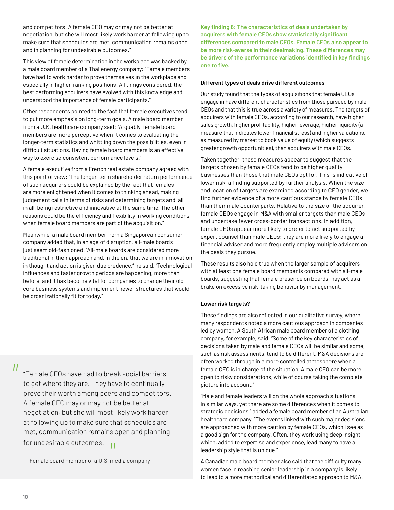and competitors. A female CEO may or may not be better at negotiation, but she will most likely work harder at following up to make sure that schedules are met, communication remains open and in planning for undesirable outcomes."

This view of female determination in the workplace was backed by a male board member of a Thai energy company: "Female members have had to work harder to prove themselves in the workplace and especially in higher-ranking positions. All things considered, the best performing acquirers have evolved with this knowledge and understood the importance of female participants."

Other respondents pointed to the fact that female executives tend to put more emphasis on long-term goals. A male board member from a U.K. healthcare company said: "Arguably, female board members are more perceptive when it comes to evaluating the longer-term statistics and whittling down the possibilities, even in difficult situations. Having female board members is an effective way to exercise consistent performance levels."

A female executive from a French real estate company agreed with this point of view: "The longer-term shareholder return performance of such acquirers could be explained by the fact that females are more enlightened when it comes to thinking ahead, making judgement calls in terms of risks and determining targets and, all in all, being restrictive and innovative at the same time. The other reasons could be the efficiency and flexibility in working conditions when female board members are part of the acquisition."

Meanwhile, a male board member from a Singaporean consumer company added that, in an age of disruption, all-male boards just seem old-fashioned. "All-male boards are considered more traditional in their approach and, in the era that we are in, innovation in thought and action is given due credence," he said. "Technological influences and faster growth periods are happening, more than before, and it has become vital for companies to change their old core business systems and implement newer structures that would be organizationally fit for today."

 $^{\prime\prime}$ 

"Female CEOs have had to break social barriers to get where they are. They have to continually prove their worth among peers and competitors. A female CEO may or may not be better at negotiation, but she will most likely work harder at following up to make sure that schedules are met, communication remains open and planning for undesirable outcomes. *"*

**Key finding 6: The characteristics of deals undertaken by acquirers with female CEOs show statistically significant differences compared to male CEOs. Female CEOs also appear to be more risk-averse in their dealmaking. These differences may be drivers of the performance variations identified in key findings one to five.**

#### **Different types of deals drive different outcomes**

Our study found that the types of acquisitions that female CEOs engage in have different characteristics from those pursued by male CEOs and that this is true across a variety of measures. The targets of acquirers with female CEOs, according to our research, have higher sales growth, higher profitability, higher leverage, higher liquidity (a measure that indicates lower financial stress) and higher valuations, as measured by market to book value of equity (which suggests greater growth opportunities), than acquirers with male CEOs.

Taken together, these measures appear to suggest that the targets chosen by female CEOs tend to be higher quality businesses than those that male CEOs opt for. This is indicative of lower risk, a finding supported by further analysis. When the size and location of targets are examined according to CEO gender, we find further evidence of a more cautious stance by female CEOs than their male counterparts. Relative to the size of the acquirer, female CEOs engage in M&A with smaller targets than male CEOs and undertake fewer cross-border transactions. In addition, female CEOs appear more likely to prefer to act supported by expert counsel than male CEOs: they are more likely to engage a financial adviser and more frequently employ multiple advisers on the deals they pursue.

These results also hold true when the larger sample of acquirers with at least one female board member is compared with all-male boards, suggesting that female presence on boards may act as a brake on excessive risk-taking behavior by management.

#### **Lower risk targets?**

These findings are also reflected in our qualitative survey, where many respondents noted a more cautious approach in companies led by women. A South African male board member of a clothing company, for example, said: "Some of the key characteristics of decisions taken by male and female CEOs will be similar and some, such as risk assessments, tend to be different. M&A decisions are often worked through in a more controlled atmosphere when a female CEO is in charge of the situation. A male CEO can be more open to risky considerations, while of course taking the complete picture into account."

"Male and female leaders will on the whole approach situations in similar ways, yet there are some differences when it comes to strategic decisions," added a female board member of an Australian healthcare company. "The events linked with such major decisions are approached with more caution by female CEOs, which I see as a good sign for the company. Often, they work using deep insight, which, added to expertise and experience, lead many to have a leadership style that is unique."

A Canadian male board member also said that the difficulty many women face in reaching senior leadership in a company is likely to lead to a more methodical and differentiated approach to M&A.

 <sup>–</sup> Female board member of a U.S. media company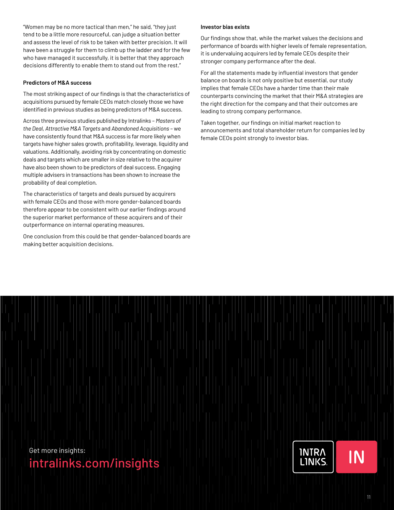"Women may be no more tactical than men," he said, "they just tend to be a little more resourceful, can judge a situation better and assess the level of risk to be taken with better precision. It will have been a struggle for them to climb up the ladder and for the few who have managed it successfully, it is better that they approach decisions differently to enable them to stand out from the rest."

#### **Predictors of M&A success**

The most striking aspect of our findings is that the characteristics of acquisitions pursued by female CEOs match closely those we have identified in previous studies as being predictors of M&A success.

Across three previous studies published by Intralinks – *[Masters of](https://www.intralinks.com/resources/publications/cass-research-report-masters-deal-part-1)  [the Deal](https://www.intralinks.com/resources/publications/cass-research-report-masters-deal-part-1)*, *[Attractive M&A Targets](https://www.intralinks.com/resources/publications/attractive-targets-part-1)* and *[Abandoned Acquisitions](https://www.intralinks.com/resources/publications/2017-abandoned-acquisitions-report)* – we have consistently found that M&A success is far more likely when targets have higher sales growth, profitability, leverage, liquidity and valuations. Additionally, avoiding risk by concentrating on domestic deals and targets which are smaller in size relative to the acquirer have also been shown to be predictors of deal success. Engaging multiple advisers in transactions has been shown to increase the probability of deal completion.

The characteristics of targets and deals pursued by acquirers with female CEOs and those with more gender-balanced boards therefore appear to be consistent with our earlier findings around the superior market performance of these acquirers and of their outperformance on internal operating measures.

One conclusion from this could be that gender-balanced boards are making better acquisition decisions.

#### **Investor bias exists**

Our findings show that, while the market values the decisions and performance of boards with higher levels of female representation, it is undervaluing acquirers led by female CEOs despite their stronger company performance after the deal.

For all the statements made by influential investors that gender balance on boards is not only positive but essential, our study implies that female CEOs have a harder time than their male counterparts convincing the market that their M&A strategies are the right direction for the company and that their outcomes are leading to strong company performance.

Taken together, our findings on initial market reaction to announcements and total shareholder return for companies led by female CEOs point strongly to investor bias.

Get more insights:

### [intralinks.com/insights](https://www.intralinks.com/insights)

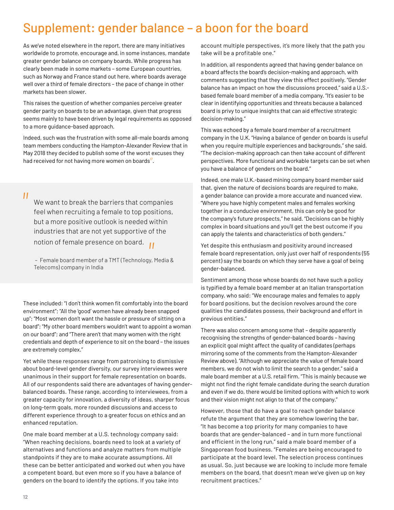### <span id="page-11-0"></span>Supplement: gender balance – a boon for the board

As we've noted elsewhere in the report, there are many initiatives worldwide to promote, encourage and, in some instances, mandate greater gender balance on company boards. While progress has clearly been made in some markets – some European countries, such as Norway and France stand out here, where boards average well over a third of female directors – the pace of change in other markets has been slower.

This raises the question of whether companies perceive greater gender parity on boards to be an advantage, given that progress seems mainly to have been driven by legal requirements as opposed to a more guidance-based approach.

Indeed, such was the frustration with some all-male boards among team members conducting the Hampton-Alexander Review that in May 2018 they decided to publish some of the worst excuses they had received for not having more women on boards<sup>"</sup>.

 $^{\prime}$ 

We want to break the barriers that companies feel when recruiting a female to top positions, but a more positive outlook is needed within industries that are not yet supportive of the

notion of female presence on board.<br>- Female board member of a TMT (Technology,<br>Telecoms) company in India – Female board member of a TMT (Technology, Media & Telecoms) company in India

These included: "I don't think women fit comfortably into the board environment"; "All the 'good' women have already been snapped up"; "Most women don't want the hassle or pressure of sitting on a board"; "My other board members wouldn't want to appoint a woman on our board"; and "There aren't that many women with the right credentials and depth of experience to sit on the board – the issues are extremely complex."

Yet while these responses range from patronising to dismissive about board-level gender diversity, our survey interviewees were unanimous in their support for female representation on boards. All of our respondents said there are advantages of having genderbalanced boards. These range, according to interviewees, from a greater capacity for innovation, a diversity of ideas, sharper focus on long-term goals, more rounded discussions and access to different experience through to a greater focus on ethics and an enhanced reputation.

One male board member at a U.S. technology company said: "When reaching decisions, boards need to look at a variety of alternatives and functions and analyze matters from multiple standpoints if they are to make accurate assumptions. All these can be better anticipated and worked out when you have a competent board, but even more so if you have a balance of genders on the board to identify the options. If you take into

account multiple perspectives, it's more likely that the path you take will be a profitable one."

In addition, all respondents agreed that having gender balance on a board affects the board's decision-making and approach, with comments suggesting that they view this effect positively. "Gender balance has an impact on how the discussions proceed," said a U.S. based female board member of a media company. "It's easier to be clear in identifying opportunities and threats because a balanced board is privy to unique insights that can aid effective strategic decision-making."

This was echoed by a female board member of a recruitment company in the U.K. "Having a balance of gender on boards is useful when you require multiple experiences and backgrounds," she said. "The decision-making approach can then take account of different perspectives. More functional and workable targets can be set when you have a balance of genders on the board."

Indeed, one male U.K.-based mining company board member said that, given the nature of decisions boards are required to make, a gender balance can provide a more accurate and nuanced view. "Where you have highly competent males and females working together in a conducive environment, this can only be good for the company's future prospects," he said. "Decisions can be highly complex in board situations and you'll get the best outcome if you can apply the talents and characteristics of both genders."

Yet despite this enthusiasm and positivity around increased female board representation, only just over half of respondents (55 percent) say the boards on which they serve have a goal of being gender-balanced.

Sentiment among those whose boards do not have such a policy is typified by a female board member at an Italian transportation company, who said: "We encourage males and females to apply for board positions, but the decision revolves around the core qualities the candidates possess, their background and effort in previous entities."

There was also concern among some that – despite apparently recognising the strengths of gender-balanced boards – having an explicit goal might affect the quality of candidates (perhaps mirroring some of the comments from the Hampton-Alexander Review above). "Although we appreciate the value of female board members, we do not wish to limit the search to a gender," said a male board member at a U.S. retail firm. "This is mainly because we might not find the right female candidate during the search duration and even if we do, there would be limited options with which to work and their vision might not align to that of the company."

However, those that do have a goal to reach gender balance refute the argument that they are somehow lowering the bar. "It has become a top priority for many companies to have boards that are gender-balanced – and in turn more functional and efficient in the long run," said a male board member of a Singaporean food business. "Females are being encouraged to participate at the board level. The selection process continues as usual. So, just because we are looking to include more female members on the board, that doesn't mean we've given up on key recruitment practices."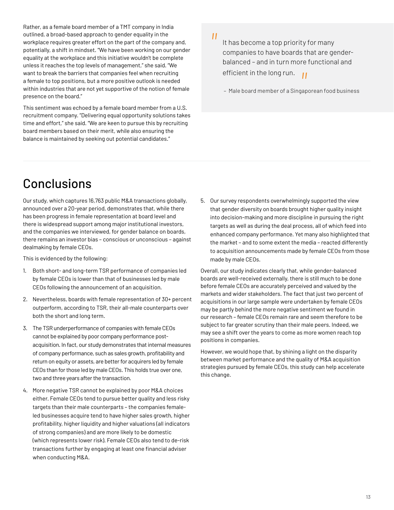<span id="page-12-0"></span>Rather, as a female board member of a TMT company in India outlined, a broad-based approach to gender equality in the workplace requires greater effort on the part of the company and, potentially, a shift in mindset. "We have been working on our gender equality at the workplace and this initiative wouldn't be complete unless it reaches the top levels of management," she said. "We want to break the barriers that companies feel when recruiting a female to top positions, but a more positive outlook is needed within industries that are not yet supportive of the notion of female presence on the board."

This sentiment was echoed by a female board member from a U.S. recruitment company. "Delivering equal opportunity solutions takes time and effort," she said. "We are keen to pursue this by recruiting board members based on their merit, while also ensuring the balance is maintained by seeking out potential candidates."

Conclusions

Our study, which captures 16,763 public M&A transactions globally, announced over a 20-year period, demonstrates that, while there has been progress in female representation at board level and there is widespread support among major institutional investors, and the companies we interviewed, for gender balance on boards, there remains an investor bias – conscious or unconscious – against dealmaking by female CEOs.

This is evidenced by the following:

- 1. Both short- and long-term TSR performance of companies led by female CEOs is lower than that of businesses led by male CEOs following the announcement of an acquisition.
- 2. Nevertheless, boards with female representation of 30+ percent outperform, according to TSR, their all-male counterparts over both the short and long term.
- 3. The TSR underperformance of companies with female CEOs cannot be explained by poor company performance postacquisition. In fact, our study demonstrates that internal measures of company performance, such as sales growth, profitability and return on equity or assets, are better for acquirers led by female CEOs than for those led by male CEOs. This holds true over one, two and three years after the transaction.
- 4. More negative TSR cannot be explained by poor M&A choices either. Female CEOs tend to pursue better quality and less risky targets than their male counterparts – the companies femaleled businesses acquire tend to have higher sales growth, higher profitability, higher liquidity and higher valuations (all indicators of strong companies) and are more likely to be domestic (which represents lower risk). Female CEOs also tend to de-risk transactions further by engaging at least one financial adviser when conducting M&A.

 $^{\prime\prime}$ 

It has become a top priority for many companies to have boards that are genderbalanced – and in turn more functional and efficient in the long run. *||*<br>gap

– Male board member of a Singaporean food business

5. Our survey respondents overwhelmingly supported the view that gender diversity on boards brought higher quality insight into decision-making and more discipline in pursuing the right targets as well as during the deal process, all of which feed into enhanced company performance. Yet many also highlighted that the market – and to some extent the media – reacted differently to acquisition announcements made by female CEOs from those made by male CEOs.

Overall, our study indicates clearly that, while gender-balanced boards are well-received externally, there is still much to be done before female CEOs are accurately perceived and valued by the markets and wider stakeholders. The fact that just two percent of acquisitions in our large sample were undertaken by female CEOs may be partly behind the more negative sentiment we found in our research – female CEOs remain rare and seem therefore to be subject to far greater scrutiny than their male peers. Indeed, we may see a shift over the years to come as more women reach top positions in companies.

However, we would hope that, by shining a light on the disparity between market performance and the quality of M&A acquisition strategies pursued by female CEOs, this study can help accelerate this change.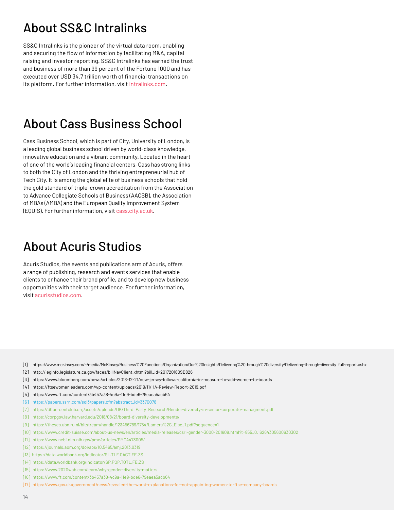### <span id="page-13-0"></span>About SS&C Intralinks

SS&C Intralinks is the pioneer of the virtual data room, enabling and securing the flow of information by facilitating M&A, capital raising and investor reporting. SS&C Intralinks has earned the trust and business of more than 99 percent of the Fortune 1000 and has executed over USD 34.7 trillion worth of financial transactions on its platform. For further information, visit [intralinks.com.](https://www.intralinks.com/)

### About Cass Business School

Cass Business School, which is part of City, University of London, is a leading global business school driven by world-class knowledge, innovative education and a vibrant community. Located in the heart of one of the world's leading financial centers, Cass has strong links to both the City of London and the thriving entrepreneurial hub of Tech City. It is among the global elite of business schools that hold the gold standard of triple-crown accreditation from the Association to Advance Collegiate Schools of Business (AACSB), the Association of MBAs (AMBA) and the European Quality Improvement System (EQUIS). For further information, visit [cass.city.ac.uk.](https://www.cass.city.ac.uk/)

### About Acuris Studios

Acuris Studios, the events and publications arm of Acuris, offers a range of publishing, research and events services that enable clients to enhance their brand profile, and to develop new business opportunities with their target audience. For further information, visit [acurisstudios.com](https://www.acurisstudios.com/).

- [1] [https://www.mckinsey.com/~/media/McKinsey/Business%20Functions/Organization/Our%20Insights/Delivering%20through%20diversity/Delivering-through-diversity\\_full-report.ashx](https://www.mckinsey.com/~/media/McKinsey/Business%20Functions/Organization/Our%20Insights/Delivering%20through%20diversity/Delivering-through-diversity_full-report.ashx)
- [2] [http://leginfo.legislature.ca.gov/faces/billNavClient.xhtml?bill\\_id=201720180SB826](http://leginfo.legislature.ca.gov/faces/billNavClient.xhtml?bill_id=201720180SB826)
- [3] <https://www.bloomberg.com/news/articles/2018-12-21/new-jersey-follows-california-in-measure-to-add-women-to-boards>
- [4] <https://ftsewomenleaders.com/wp-content/uploads/2019/11/HA-Review-Report-2019.pdf>
- [5] <https://www.ft.com/content/3b457a38-4c9a-11e9-bde6-79eaea5acb64>
- [6] [https://papers.ssrn.com/sol3/papers.cfm?abstract\\_id=3370078](https://papers.ssrn.com/sol3/papers.cfm?abstract_id=3370078)
- [7] [https://30percentclub.org/assets/uploads/UK/Third\\_Party\\_Research/Gender-diversity-in-senior-corporate-managment.pdf](https://30percentclub.org/assets/uploads/UK/Third_Party_Research/Gender-diversity-in-senior-corporate-managment.pdf)
- [8] <https://corpgov.law.harvard.edu/2018/08/21/board-diversity-developments/>
- [9] [https://theses.ubn.ru.nl/bitstream/handle/123456789/1754/Lamers%2C\\_Else\\_1.pdf?sequence=1](https://theses.ubn.ru.nl/bitstream/handle/123456789/1754/Lamers%2C_Else_1.pdf?sequence=1)
- [10] [https://www.credit-suisse.com/about-us-news/en/articles/media-releases/csri-gender-3000-201609.html?t=855\\_0.16264305600630302](https://www.credit-suisse.com/about-us-news/en/articles/media-releases/csri-gender-3000-201609.html?)
- [11] <https://www.ncbi.nlm.nih.gov/pmc/articles/PMC4473005/>
- [12] <https://journals.aom.org/doi/abs/10.5465/amj.2013.0319>
- [13] <https://data.worldbank.org/indicator/SL.TLF.CACT.FE.ZS>
- [14] <https://data.worldbank.org/indicator/SP.POP.TOTL.FE.ZS>
- [15] <https://www.2020wob.com/learn/why-gender-diversity-matters>
- [16] <https://www.ft.com/content/3b457a38-4c9a-11e9-bde6-79eaea5acb64>
- [17] <https://www.gov.uk/government/news/revealed-the-worst-explanations-for-not-appointing-women-to-ftse-company-boards>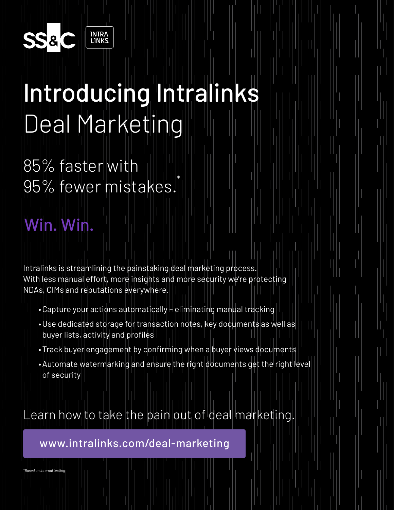

## Introducing Intralinks Deal Marketing

85% faster with 95% fewer mistakes.

## Win. Win.

Intralinks is streamlining the painstaking deal marketing process. With less manual effort, more insights and more security we're protecting NDAs, CIMs and reputations everywhere.

- •Capture your actions automatically eliminating manual tracking
- •Use dedicated storage for transaction notes, key documents as well as buyer lists, activity and profiles

\*

- •Track buyer engagement by confirming when a buyer views documents
- •Automate watermarking and ensure the right documents get the right level of security

Learn how to take the pain out of deal marketing.

[www.intralinks.com/deal-marketing](https://www.intralinks.com/products/mergers-acquisitions/deal-marketing?utm_source=vanity&utm_medium=link&utm_campaign=7011y000001sai2)